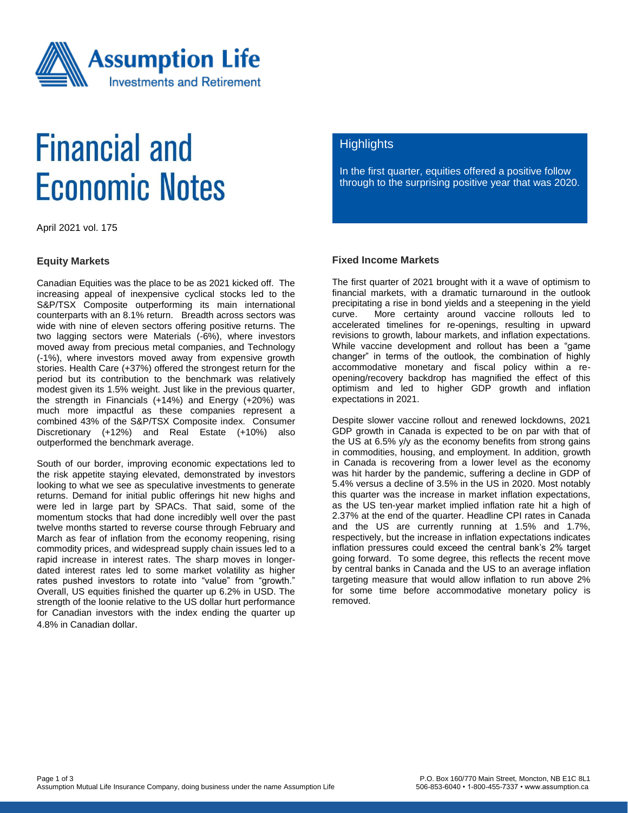

# **Financial and Economic Notes**

April 2021 vol. 175

### **Equity Markets**

Canadian Equities was the place to be as 2021 kicked off. The increasing appeal of inexpensive cyclical stocks led to the S&P/TSX Composite outperforming its main international counterparts with an 8.1% return. Breadth across sectors was wide with nine of eleven sectors offering positive returns. The two lagging sectors were Materials (-6%), where investors moved away from precious metal companies, and Technology (-1%), where investors moved away from expensive growth stories. Health Care (+37%) offered the strongest return for the period but its contribution to the benchmark was relatively modest given its 1.5% weight. Just like in the previous quarter, the strength in Financials (+14%) and Energy (+20%) was much more impactful as these companies represent a combined 43% of the S&P/TSX Composite index. Consumer Discretionary (+12%) and Real Estate (+10%) also outperformed the benchmark average.

South of our border, improving economic expectations led to the risk appetite staying elevated, demonstrated by investors looking to what we see as speculative investments to generate returns. Demand for initial public offerings hit new highs and were led in large part by SPACs. That said, some of the momentum stocks that had done incredibly well over the past twelve months started to reverse course through February and March as fear of inflation from the economy reopening, rising commodity prices, and widespread supply chain issues led to a rapid increase in interest rates. The sharp moves in longerdated interest rates led to some market volatility as higher rates pushed investors to rotate into "value" from "growth." Overall, US equities finished the quarter up 6.2% in USD. The strength of the loonie relative to the US dollar hurt performance for Canadian investors with the index ending the quarter up 4.8% in Canadian dollar.

# **Highlights**

In the first quarter, equities offered a positive follow through to the surprising positive year that was 2020.

### **Fixed Income Markets**

The first quarter of 2021 brought with it a wave of optimism to financial markets, with a dramatic turnaround in the outlook precipitating a rise in bond yields and a steepening in the yield curve. More certainty around vaccine rollouts led to accelerated timelines for re-openings, resulting in upward revisions to growth, labour markets, and inflation expectations. While vaccine development and rollout has been a "game changer" in terms of the outlook, the combination of highly accommodative monetary and fiscal policy within a reopening/recovery backdrop has magnified the effect of this optimism and led to higher GDP growth and inflation expectations in 2021.

Despite slower vaccine rollout and renewed lockdowns, 2021 GDP growth in Canada is expected to be on par with that of the US at 6.5% y/y as the economy benefits from strong gains in commodities, housing, and employment. In addition, growth in Canada is recovering from a lower level as the economy was hit harder by the pandemic, suffering a decline in GDP of 5.4% versus a decline of 3.5% in the US in 2020. Most notably this quarter was the increase in market inflation expectations, as the US ten-year market implied inflation rate hit a high of 2.37% at the end of the quarter. Headline CPI rates in Canada and the US are currently running at 1.5% and 1.7%, respectively, but the increase in inflation expectations indicates inflation pressures could exceed the central bank's 2% target going forward. To some degree, this reflects the recent move by central banks in Canada and the US to an average inflation targeting measure that would allow inflation to run above 2% for some time before accommodative monetary policy is removed.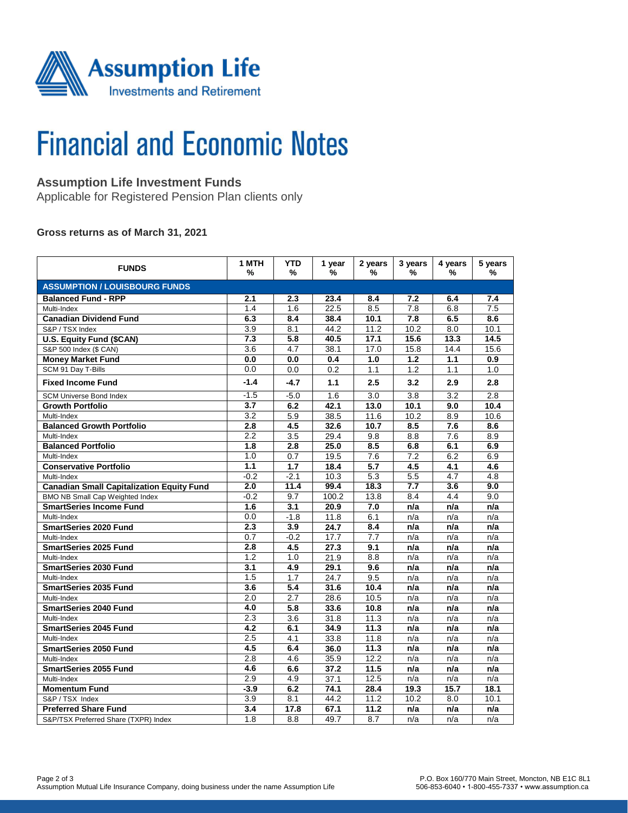

# **Financial and Economic Notes**

# **Assumption Life Investment Funds**

Applicable for Registered Pension Plan clients only

### **Gross returns as of March 31, 2021**

| <b>FUNDS</b>                                     | 1 MTH<br>%       | <b>YTD</b><br>%  | 1 year<br>% | 2 years<br>%     | 3 years<br>%     | 4 years<br>% | 5 years<br>%     |  |  |  |  |
|--------------------------------------------------|------------------|------------------|-------------|------------------|------------------|--------------|------------------|--|--|--|--|
| <b>ASSUMPTION / LOUISBOURG FUNDS</b>             |                  |                  |             |                  |                  |              |                  |  |  |  |  |
| <b>Balanced Fund - RPP</b>                       | 2.1              | 2.3              | 23.4        | 8.4              | 7.2              | 6.4          | 7.4              |  |  |  |  |
| Multi-Index                                      | 1.4              | 1.6              | 22.5        | 8.5              | $\overline{7.8}$ | 6.8          | $\overline{7.5}$ |  |  |  |  |
| <b>Canadian Dividend Fund</b>                    | 6.3              | 8.4              | 38.4        | 10.1             | 7.8              | 6.5          | 8.6              |  |  |  |  |
| S&P / TSX Index                                  | 3.9              | 8.1              | 44.2        | 11.2             | 10.2             | 8.0          | 10.1             |  |  |  |  |
| U.S. Equity Fund (\$CAN)                         | 7.3              | $\overline{5.8}$ | 40.5        | 17.1             | 15.6             | 13.3         | 14.5             |  |  |  |  |
| S&P 500 Index (\$ CAN)                           | 3.6              | 4.7              | 38.1        | 17.0             | 15.8             | 14.4         | 15.6             |  |  |  |  |
| <b>Money Market Fund</b>                         | 0.0              | 0.0              | 0.4         | 1.0              | 1.2              | 1.1          | 0.9              |  |  |  |  |
| SCM 91 Day T-Bills                               | 0.0              | 0.0              | 0.2         | 1.1              | 1.2              | 1.1          | 1.0              |  |  |  |  |
| <b>Fixed Income Fund</b>                         | $-1.4$           | $-4.7$           | 1.1         | 2.5              | 3.2              | 2.9          | 2.8              |  |  |  |  |
| <b>SCM Universe Bond Index</b>                   | $-1.5$           | $-5.0$           | 1.6         | 3.0              | 3.8              | 3.2          | 2.8              |  |  |  |  |
| <b>Growth Portfolio</b>                          | 3.7              | 6.2              | 42.1        | 13.0             | 10.1             | 9.0          | 10.4             |  |  |  |  |
| Multi-Index                                      | 3.2              | 5.9              | 38.5        | 11.6             | 10.2             | 8.9          | 10.6             |  |  |  |  |
| <b>Balanced Growth Portfolio</b>                 | 2.8              | 4.5              | 32.6        | 10.7             | 8.5              | 7.6          | 8.6              |  |  |  |  |
| Multi-Index                                      | 2.2              | 3.5              | 29.4        | 9.8              | 8.8              | 7.6          | 8.9              |  |  |  |  |
| <b>Balanced Portfolio</b>                        | 1.8              | 2.8              | 25.0        | 8.5              | 6.8              | 6.1          | 6.9              |  |  |  |  |
| Multi-Index                                      | 1.0              | 0.7              | 19.5        | 7.6              | 7.2              | 6.2          | 6.9              |  |  |  |  |
| <b>Conservative Portfolio</b>                    | 1.1              | 1.7              | 18.4        | 5.7              | 4.5              | 4.1          | 4.6              |  |  |  |  |
| Multi-Index                                      | $-0.2$           | $-2.1$           | 10.3        | 5.3              | 5.5              | 4.7          | 4.8              |  |  |  |  |
| <b>Canadian Small Capitalization Equity Fund</b> | 2.0              | 11.4             | 99.4        | 18.3             | 7.7              | 3.6          | 9.0              |  |  |  |  |
| <b>BMO NB Small Cap Weighted Index</b>           | $-0.2$           | 9.7              | 100.2       | 13.8             | 8.4              | 4.4          | 9.0              |  |  |  |  |
| <b>SmartSeries Income Fund</b>                   | 1.6              | 3.1              | 20.9        | 7.0              | n/a              | n/a          | n/a              |  |  |  |  |
| Multi-Index                                      | 0.0              | $-1.8$           | 11.8        | 6.1              | n/a              | n/a          | n/a              |  |  |  |  |
| <b>SmartSeries 2020 Fund</b>                     | 2.3              | 3.9              | 24.7        | 8.4              | n/a              | n/a          | n/a              |  |  |  |  |
| Multi-Index                                      | 0.7              | $-0.2$           | 17.7        | 7.7              | n/a              | n/a          | n/a              |  |  |  |  |
| <b>SmartSeries 2025 Fund</b>                     | 2.8              | 4.5              | 27.3        | 9.1              | n/a              | n/a          | n/a              |  |  |  |  |
| Multi-Index                                      | 1.2              | 1.0              | 21.9        | 8.8              | n/a              | n/a          | n/a              |  |  |  |  |
| <b>SmartSeries 2030 Fund</b>                     | $\overline{3.1}$ | 4.9              | 29.1        | 9.6              | n/a              | n/a          | n/a              |  |  |  |  |
| Multi-Index                                      | 1.5              | 1.7              | 24.7        | 9.5              | n/a              | n/a          | n/a              |  |  |  |  |
| <b>SmartSeries 2035 Fund</b>                     | 3.6              | 5.4              | 31.6        | 10.4             | n/a              | n/a          | n/a              |  |  |  |  |
| Multi-Index                                      | 2.0              | 2.7              | 28.6        | 10.5             | n/a              | n/a          | n/a              |  |  |  |  |
| <b>SmartSeries 2040 Fund</b>                     | 4.0              | $\overline{5.8}$ | 33.6        | 10.8             | n/a              | n/a          | n/a              |  |  |  |  |
| Multi-Index                                      | 2.3              | 3.6              | 31.8        | 11.3             | n/a              | n/a          | n/a              |  |  |  |  |
| <b>SmartSeries 2045 Fund</b>                     | 4.2              | 6.1              | 34.9        | 11.3             | n/a              | n/a          | n/a              |  |  |  |  |
| Multi-Index                                      | 2.5              | 4.1              | 33.8        | 11.8             | n/a              | n/a          | n/a              |  |  |  |  |
| <b>SmartSeries 2050 Fund</b>                     | 4.5              | 6.4              | 36.0        | 11.3             | n/a              | n/a          | n/a              |  |  |  |  |
| Multi-Index                                      | 2.8              | 4.6              | 35.9        | 12.2             | n/a              | n/a          | n/a              |  |  |  |  |
| <b>SmartSeries 2055 Fund</b>                     | 4.6              | 6.6              | 37.2        | 11.5             | n/a              | n/a          | n/a              |  |  |  |  |
| Multi-Index                                      | 2.9              | 4.9              | 37.1        | 12.5             | n/a              | n/a          | n/a              |  |  |  |  |
| <b>Momentum Fund</b>                             | $-3.9$           | 6.2              | 74.1        | 28.4             | 19.3             | 15.7         | 18.1             |  |  |  |  |
| S&P / TSX Index                                  | 3.9              | 8.1              | 44.2        | 11.2             | 10.2             | 8.0          | 10.1             |  |  |  |  |
| <b>Preferred Share Fund</b>                      | 3.4              | 17.8             | 67.1        | 11.2             | n/a              | n/a          | n/a              |  |  |  |  |
| S&P/TSX Preferred Share (TXPR) Index             | 1.8              | 8.8              | 49.7        | $\overline{8.7}$ | n/a              | n/a          | n/a              |  |  |  |  |